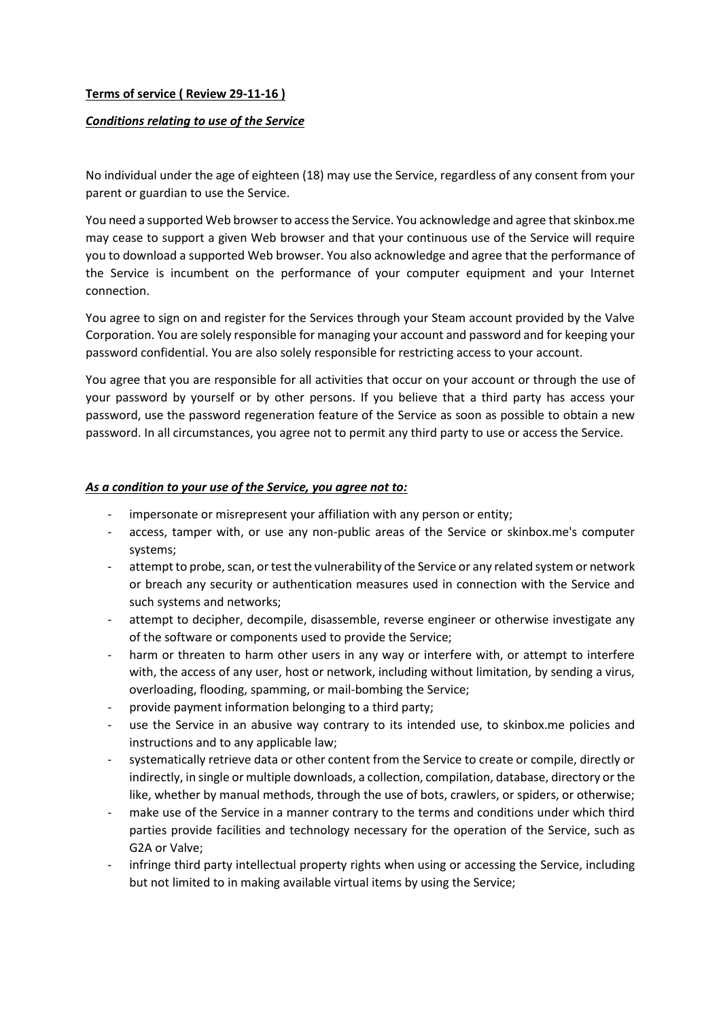# **Terms of service ( Review 29-11-16 )**

#### *Conditions relating to use of the Service*

No individual under the age of eighteen (18) may use the Service, regardless of any consent from your parent or guardian to use the Service.

You need a supported Web browser to access the Service. You acknowledge and agree that skinbox.me may cease to support a given Web browser and that your continuous use of the Service will require you to download a supported Web browser. You also acknowledge and agree that the performance of the Service is incumbent on the performance of your computer equipment and your Internet connection.

You agree to sign on and register for the Services through your Steam account provided by the Valve Corporation. You are solely responsible for managing your account and password and for keeping your password confidential. You are also solely responsible for restricting access to your account.

You agree that you are responsible for all activities that occur on your account or through the use of your password by yourself or by other persons. If you believe that a third party has access your password, use the password regeneration feature of the Service as soon as possible to obtain a new password. In all circumstances, you agree not to permit any third party to use or access the Service.

#### *As a condition to your use of the Service, you agree not to:*

- impersonate or misrepresent your affiliation with any person or entity;
- access, tamper with, or use any non-public areas of the Service or skinbox.me's computer systems;
- attempt to probe, scan, or test the vulnerability of the Service or any related system or network or breach any security or authentication measures used in connection with the Service and such systems and networks;
- attempt to decipher, decompile, disassemble, reverse engineer or otherwise investigate any of the software or components used to provide the Service;
- harm or threaten to harm other users in any way or interfere with, or attempt to interfere with, the access of any user, host or network, including without limitation, by sending a virus, overloading, flooding, spamming, or mail-bombing the Service;
- provide payment information belonging to a third party;
- use the Service in an abusive way contrary to its intended use, to skinbox.me policies and instructions and to any applicable law;
- systematically retrieve data or other content from the Service to create or compile, directly or indirectly, in single or multiple downloads, a collection, compilation, database, directory or the like, whether by manual methods, through the use of bots, crawlers, or spiders, or otherwise;
- make use of the Service in a manner contrary to the terms and conditions under which third parties provide facilities and technology necessary for the operation of the Service, such as G2A or Valve;
- infringe third party intellectual property rights when using or accessing the Service, including but not limited to in making available virtual items by using the Service;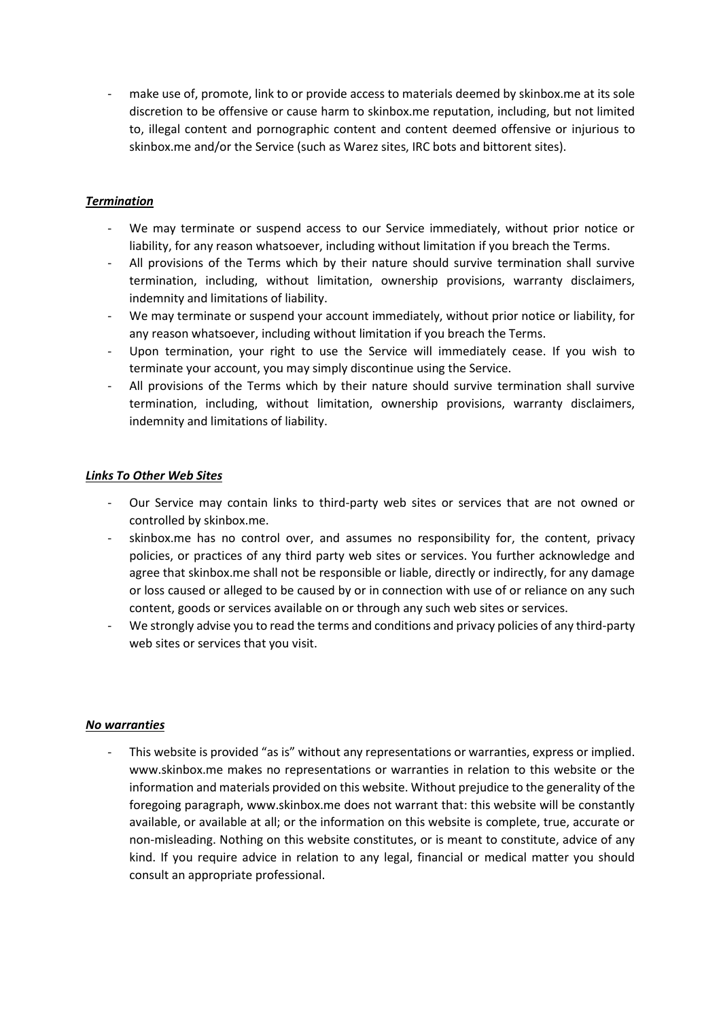make use of, promote, link to or provide access to materials deemed by skinbox.me at its sole discretion to be offensive or cause harm to skinbox.me reputation, including, but not limited to, illegal content and pornographic content and content deemed offensive or injurious to skinbox.me and/or the Service (such as Warez sites, IRC bots and bittorent sites).

# *Termination*

- We may terminate or suspend access to our Service immediately, without prior notice or liability, for any reason whatsoever, including without limitation if you breach the Terms.
- All provisions of the Terms which by their nature should survive termination shall survive termination, including, without limitation, ownership provisions, warranty disclaimers, indemnity and limitations of liability.
- We may terminate or suspend your account immediately, without prior notice or liability, for any reason whatsoever, including without limitation if you breach the Terms.
- Upon termination, your right to use the Service will immediately cease. If you wish to terminate your account, you may simply discontinue using the Service.
- All provisions of the Terms which by their nature should survive termination shall survive termination, including, without limitation, ownership provisions, warranty disclaimers, indemnity and limitations of liability.

# *Links To Other Web Sites*

- Our Service may contain links to third-party web sites or services that are not owned or controlled by skinbox.me.
- skinbox.me has no control over, and assumes no responsibility for, the content, privacy policies, or practices of any third party web sites or services. You further acknowledge and agree that skinbox.me shall not be responsible or liable, directly or indirectly, for any damage or loss caused or alleged to be caused by or in connection with use of or reliance on any such content, goods or services available on or through any such web sites or services.
- We strongly advise you to read the terms and conditions and privacy policies of any third-party web sites or services that you visit.

# *No warranties*

This website is provided "as is" without any representations or warranties, express or implied. www.skinbox.me makes no representations or warranties in relation to this website or the information and materials provided on this website. Without prejudice to the generality of the foregoing paragraph, www.skinbox.me does not warrant that: this website will be constantly available, or available at all; or the information on this website is complete, true, accurate or non-misleading. Nothing on this website constitutes, or is meant to constitute, advice of any kind. If you require advice in relation to any legal, financial or medical matter you should consult an appropriate professional.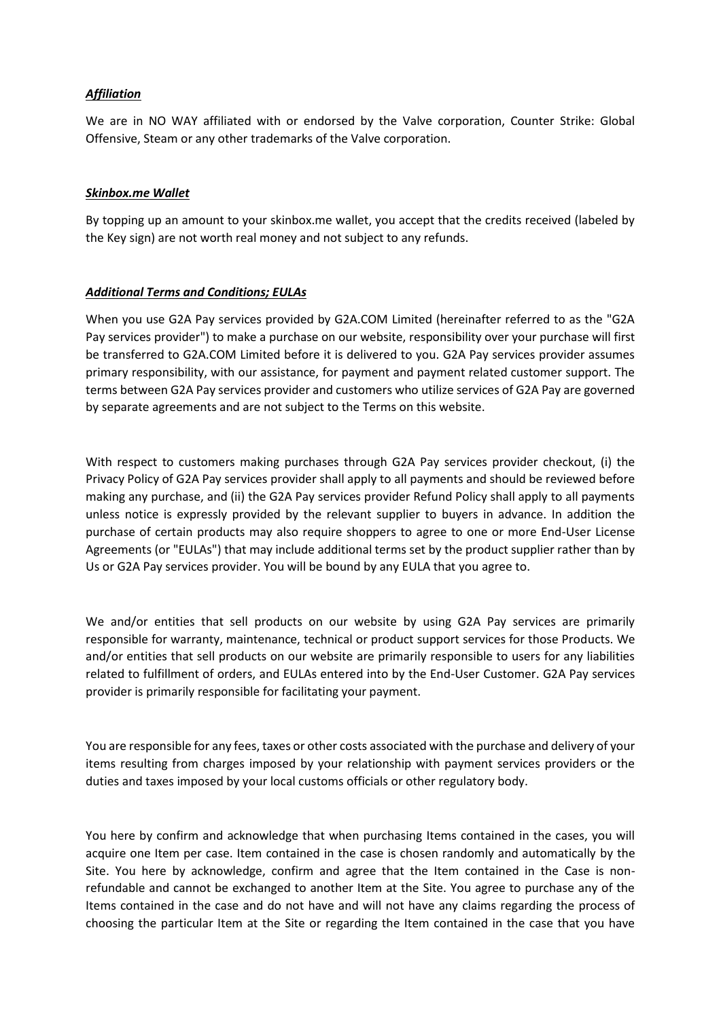### *Affiliation*

We are in NO WAY affiliated with or endorsed by the Valve corporation, Counter Strike: Global Offensive, Steam or any other trademarks of the Valve corporation.

#### *Skinbox.me Wallet*

By topping up an amount to your skinbox.me wallet, you accept that the credits received (labeled by the Key sign) are not worth real money and not subject to any refunds.

#### *Additional Terms and Conditions; EULAs*

When you use G2A Pay services provided by G2A.COM Limited (hereinafter referred to as the "G2A Pay services provider") to make a purchase on our website, responsibility over your purchase will first be transferred to G2A.COM Limited before it is delivered to you. G2A Pay services provider assumes primary responsibility, with our assistance, for payment and payment related customer support. The terms between G2A Pay services provider and customers who utilize services of G2A Pay are governed by separate agreements and are not subject to the Terms on this website.

With respect to customers making purchases through G2A Pay services provider checkout, (i) the Privacy Policy of G2A Pay services provider shall apply to all payments and should be reviewed before making any purchase, and (ii) the G2A Pay services provider Refund Policy shall apply to all payments unless notice is expressly provided by the relevant supplier to buyers in advance. In addition the purchase of certain products may also require shoppers to agree to one or more End-User License Agreements (or "EULAs") that may include additional terms set by the product supplier rather than by Us or G2A Pay services provider. You will be bound by any EULA that you agree to.

We and/or entities that sell products on our website by using G2A Pay services are primarily responsible for warranty, maintenance, technical or product support services for those Products. We and/or entities that sell products on our website are primarily responsible to users for any liabilities related to fulfillment of orders, and EULAs entered into by the End-User Customer. G2A Pay services provider is primarily responsible for facilitating your payment.

You are responsible for any fees, taxes or other costs associated with the purchase and delivery of your items resulting from charges imposed by your relationship with payment services providers or the duties and taxes imposed by your local customs officials or other regulatory body.

You here by confirm and acknowledge that when purchasing Items contained in the cases, you will acquire one Item per case. Item contained in the case is chosen randomly and automatically by the Site. You here by acknowledge, confirm and agree that the Item contained in the Case is nonrefundable and cannot be exchanged to another Item at the Site. You agree to purchase any of the Items contained in the case and do not have and will not have any claims regarding the process of choosing the particular Item at the Site or regarding the Item contained in the case that you have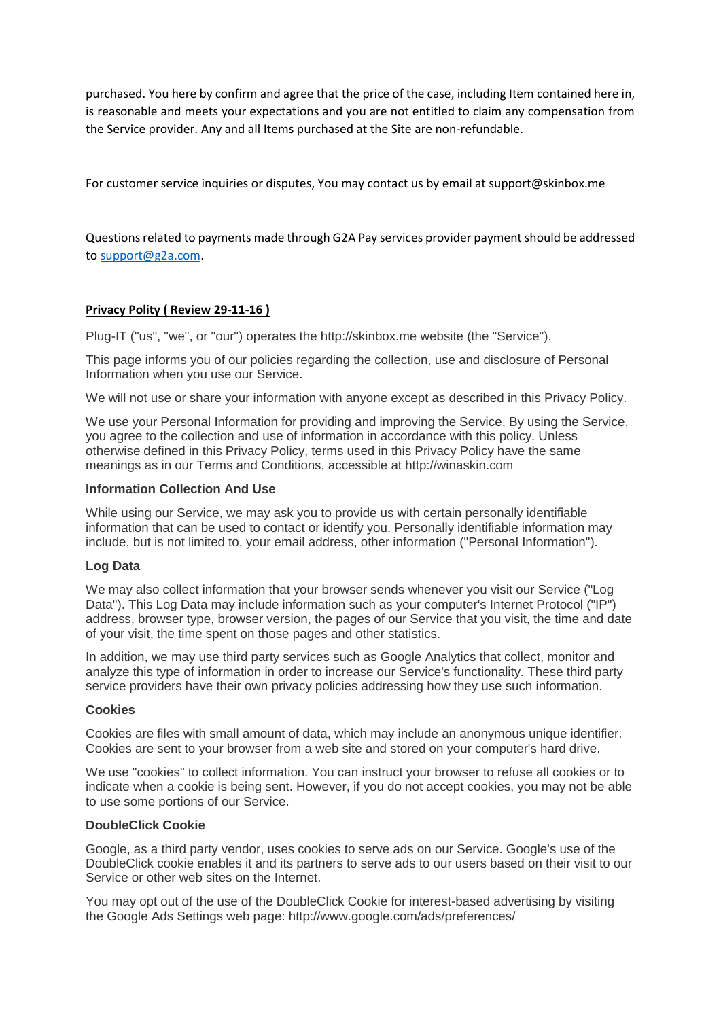purchased. You here by confirm and agree that the price of the case, including Item contained here in, is reasonable and meets your expectations and you are not entitled to claim any compensation from the Service provider. Any and all Items purchased at the Site are non-refundable.

For customer service inquiries or disputes, You may contact us by email at support@skinbox.me

Questions related to payments made through G2A Pay services provider payment should be addressed to [support@g2a.com.](mailto:support@g2a.com)

### **Privacy Polity ( Review 29-11-16 )**

Plug-IT ("us", "we", or "our") operates the http://skinbox.me website (the "Service").

This page informs you of our policies regarding the collection, use and disclosure of Personal Information when you use our Service.

We will not use or share your information with anyone except as described in this Privacy Policy.

We use your Personal Information for providing and improving the Service. By using the Service, you agree to the collection and use of information in accordance with this policy. Unless otherwise defined in this Privacy Policy, terms used in this Privacy Policy have the same meanings as in our Terms and Conditions, accessible at http://winaskin.com

#### **Information Collection And Use**

While using our Service, we may ask you to provide us with certain personally identifiable information that can be used to contact or identify you. Personally identifiable information may include, but is not limited to, your email address, other information ("Personal Information").

#### **Log Data**

We may also collect information that your browser sends whenever you visit our Service ("Log Data"). This Log Data may include information such as your computer's Internet Protocol ("IP") address, browser type, browser version, the pages of our Service that you visit, the time and date of your visit, the time spent on those pages and other statistics.

In addition, we may use third party services such as Google Analytics that collect, monitor and analyze this type of information in order to increase our Service's functionality. These third party service providers have their own privacy policies addressing how they use such information.

#### **Cookies**

Cookies are files with small amount of data, which may include an anonymous unique identifier. Cookies are sent to your browser from a web site and stored on your computer's hard drive.

We use "cookies" to collect information. You can instruct your browser to refuse all cookies or to indicate when a cookie is being sent. However, if you do not accept cookies, you may not be able to use some portions of our Service.

#### **DoubleClick Cookie**

Google, as a third party vendor, uses cookies to serve ads on our Service. Google's use of the DoubleClick cookie enables it and its partners to serve ads to our users based on their visit to our Service or other web sites on the Internet.

You may opt out of the use of the DoubleClick Cookie for interest-based advertising by visiting the Google Ads Settings web page: http://www.google.com/ads/preferences/